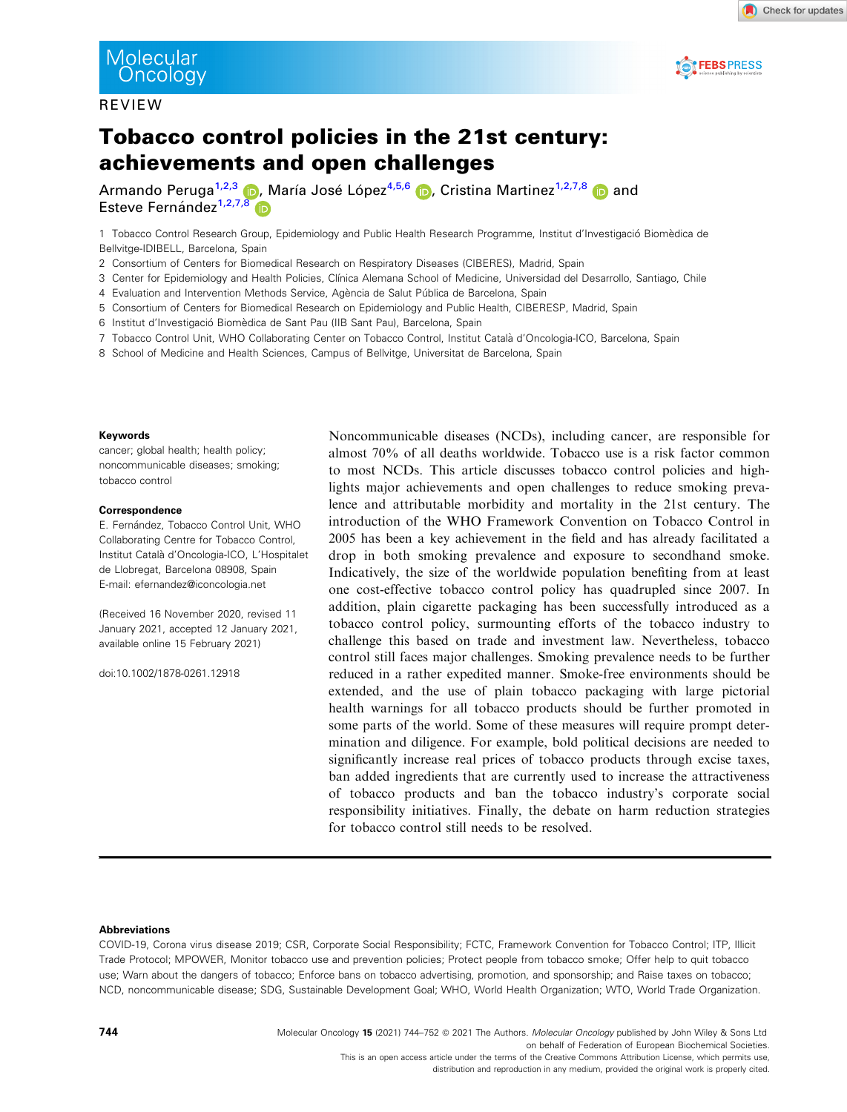#### REVIEW



Check for updates

# Tobacco control policies in the 21st century: achievements and open challenges

Armando Peruga<sup>1,2,3</sup> D, María José López<sup>4,5,6</sup> D, Cristina Martinez<sup>1,2,7,8</sup> D and Esteve Fernández $1,2,7,8$  $1,2,7,8$ 

1 Tobacco Control Research Group, Epidemiology and Public Health Research Programme, Institut d'Investigació Biomèdica de Bellvitge-IDIBELL, Barcelona, Spain

2 Consortium of Centers for Biomedical Research on Respiratory Diseases (CIBERES), Madrid, Spain

- 3 Center for Epidemiology and Health Policies, Clınica Alemana School of Medicine, Universidad del Desarrollo, Santiago, Chile
- 4 Evaluation and Intervention Methods Service, Agència de Salut Pública de Barcelona, Spain
- 5 Consortium of Centers for Biomedical Research on Epidemiology and Public Health, CIBERESP, Madrid, Spain
- 6 Institut d'Investigació Biomèdica de Sant Pau (IIB Sant Pau), Barcelona, Spain
- 7 Tobacco Control Unit, WHO Collaborating Center on Tobacco Control, Institut Catala d'Oncologia-ICO, Barcelona, Spain
- 8 School of Medicine and Health Sciences, Campus of Bellvitge, Universitat de Barcelona, Spain

#### Keywords

cancer; global health; health policy; noncommunicable diseases; smoking; tobacco control

#### Correspondence

E. Fernández, Tobacco Control Unit, WHO Collaborating Centre for Tobacco Control, Institut Catala d'Oncologia-ICO, L'Hospitalet de Llobregat, Barcelona 08908, Spain E-mail: [efernandez@iconcologia.net](mailto:)

(Received 16 November 2020, revised 11 January 2021, accepted 12 January 2021, available online 15 February 2021)

doi:10.1002/1878-0261.12918

Noncommunicable diseases (NCDs), including cancer, are responsible for almost 70% of all deaths worldwide. Tobacco use is a risk factor common to most NCDs. This article discusses tobacco control policies and highlights major achievements and open challenges to reduce smoking prevalence and attributable morbidity and mortality in the 21st century. The introduction of the WHO Framework Convention on Tobacco Control in 2005 has been a key achievement in the field and has already facilitated a drop in both smoking prevalence and exposure to secondhand smoke. Indicatively, the size of the worldwide population benefiting from at least one cost-effective tobacco control policy has quadrupled since 2007. In addition, plain cigarette packaging has been successfully introduced as a tobacco control policy, surmounting efforts of the tobacco industry to challenge this based on trade and investment law. Nevertheless, tobacco control still faces major challenges. Smoking prevalence needs to be further reduced in a rather expedited manner. Smoke-free environments should be extended, and the use of plain tobacco packaging with large pictorial health warnings for all tobacco products should be further promoted in some parts of the world. Some of these measures will require prompt determination and diligence. For example, bold political decisions are needed to significantly increase real prices of tobacco products through excise taxes, ban added ingredients that are currently used to increase the attractiveness of tobacco products and ban the tobacco industry's corporate social responsibility initiatives. Finally, the debate on harm reduction strategies for tobacco control still needs to be resolved.

#### Abbreviations

COVID-19, Corona virus disease 2019; CSR, Corporate Social Responsibility; FCTC, Framework Convention for Tobacco Control; ITP, Illicit Trade Protocol; MPOWER, Monitor tobacco use and prevention policies; Protect people from tobacco smoke; Offer help to quit tobacco use; Warn about the dangers of tobacco; Enforce bans on tobacco advertising, promotion, and sponsorship; and Raise taxes on tobacco; NCD, noncommunicable disease; SDG, Sustainable Development Goal; WHO, World Health Organization; WTO, World Trade Organization.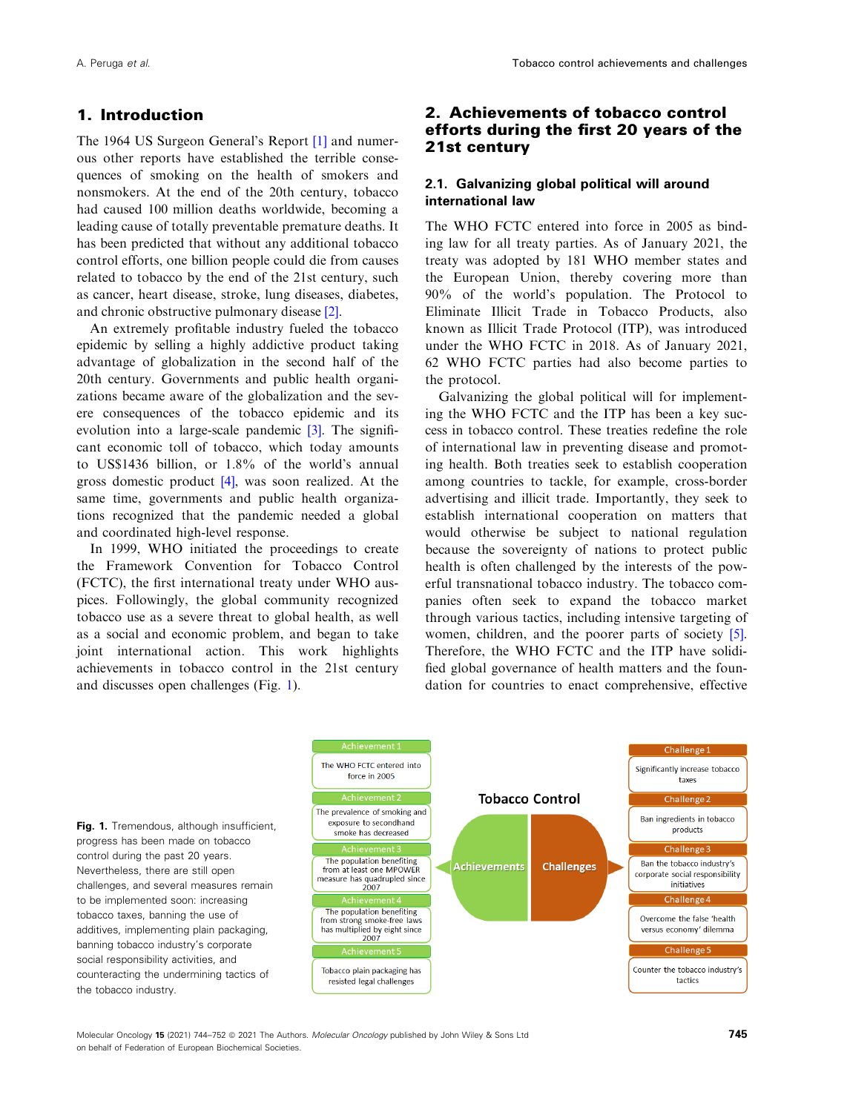### <span id="page-1-0"></span>1. Introduction

The 1964 US Surgeon General's Report [[1](#page-6-0)] and numerous other reports have established the terrible consequences of smoking on the health of smokers and nonsmokers. At the end of the 20th century, tobacco had caused 100 million deaths worldwide, becoming a leading cause of totally preventable premature deaths. It has been predicted that without any additional tobacco control efforts, one billion people could die from causes related to tobacco by the end of the 21st century, such as cancer, heart disease, stroke, lung diseases, diabetes, and chronic obstructive pulmonary disease [[2\]](#page-6-0).

An extremely profitable industry fueled the tobacco epidemic by selling a highly addictive product taking advantage of globalization in the second half of the 20th century. Governments and public health organizations became aware of the globalization and the severe consequences of the tobacco epidemic and its evolution into a large-scale pandemic [[3\]](#page-6-0). The significant economic toll of tobacco, which today amounts to US\$1436 billion, or 1.8% of the world's annual gross domestic product [[4\]](#page-6-0), was soon realized. At the same time, governments and public health organizations recognized that the pandemic needed a global and coordinated high-level response.

In 1999, WHO initiated the proceedings to create the Framework Convention for Tobacco Control (FCTC), the first international treaty under WHO auspices. Followingly, the global community recognized tobacco use as a severe threat to global health, as well as a social and economic problem, and began to take joint international action. This work highlights achievements in tobacco control in the 21st century and discusses open challenges (Fig. 1).

## 2. Achievements of tobacco control efforts during the first 20 years of the 21st century

#### 2.1. Galvanizing global political will around international law

The WHO FCTC entered into force in 2005 as binding law for all treaty parties. As of January 2021, the treaty was adopted by 181 WHO member states and the European Union, thereby covering more than 90% of the world's population. The Protocol to Eliminate Illicit Trade in Tobacco Products, also known as Illicit Trade Protocol (ITP), was introduced under the WHO FCTC in 2018. As of January 2021, 62 WHO FCTC parties had also become parties to the protocol.

Galvanizing the global political will for implementing the WHO FCTC and the ITP has been a key success in tobacco control. These treaties redefine the role of international law in preventing disease and promoting health. Both treaties seek to establish cooperation among countries to tackle, for example, cross-border advertising and illicit trade. Importantly, they seek to establish international cooperation on matters that would otherwise be subject to national regulation because the sovereignty of nations to protect public health is often challenged by the interests of the powerful transnational tobacco industry. The tobacco companies often seek to expand the tobacco market through various tactics, including intensive targeting of women, children, and the poorer parts of society [[5](#page-6-0)]. Therefore, the WHO FCTC and the ITP have solidified global governance of health matters and the foundation for countries to enact comprehensive, effective



Molecular Oncology 15 (2021) 744–752 © 2021 The Authors. Molecular Oncology published by John Wiley & Sons Ltd 745 on behalf of Federation of European Biochemical Societies.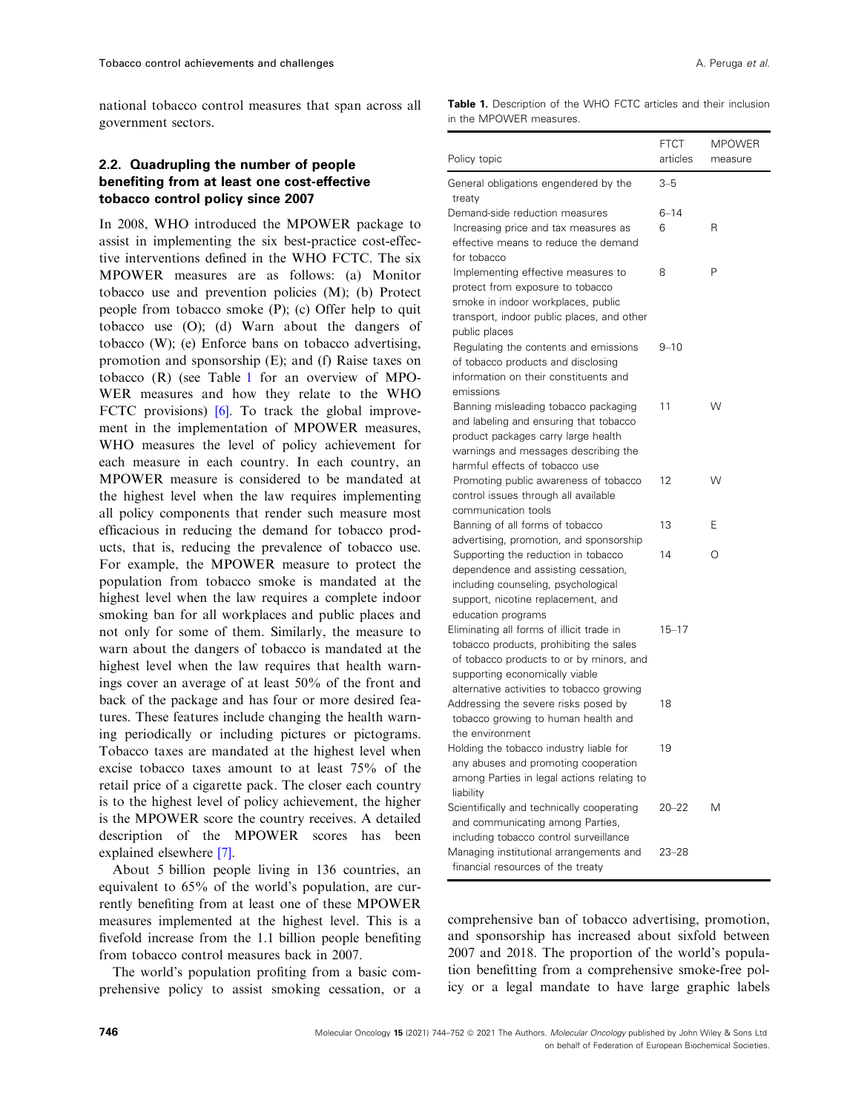national tobacco control measures that span across all government sectors.

### 2.2. Quadrupling the number of people benefiting from at least one cost-effective tobacco control policy since 2007

In 2008, WHO introduced the MPOWER package to assist in implementing the six best-practice cost-effective interventions defined in the WHO FCTC. The six MPOWER measures are as follows: (a) Monitor tobacco use and prevention policies (M); (b) Protect people from tobacco smoke (P); (c) Offer help to quit tobacco use (O); (d) Warn about the dangers of tobacco (W); (e) Enforce bans on tobacco advertising, promotion and sponsorship (E); and (f) Raise taxes on tobacco (R) (see Table 1 for an overview of MPO-WER measures and how they relate to the WHO FCTC provisions)  $[6]$  $[6]$ . To track the global improvement in the implementation of MPOWER measures, WHO measures the level of policy achievement for each measure in each country. In each country, an MPOWER measure is considered to be mandated at the highest level when the law requires implementing all policy components that render such measure most efficacious in reducing the demand for tobacco products, that is, reducing the prevalence of tobacco use. For example, the MPOWER measure to protect the population from tobacco smoke is mandated at the highest level when the law requires a complete indoor smoking ban for all workplaces and public places and not only for some of them. Similarly, the measure to warn about the dangers of tobacco is mandated at the highest level when the law requires that health warnings cover an average of at least 50% of the front and back of the package and has four or more desired features. These features include changing the health warning periodically or including pictures or pictograms. Tobacco taxes are mandated at the highest level when excise tobacco taxes amount to at least 75% of the retail price of a cigarette pack. The closer each country is to the highest level of policy achievement, the higher is the MPOWER score the country receives. A detailed description of the MPOWER scores has been explained elsewhere [[7](#page-6-0)].

About 5 billion people living in 136 countries, an equivalent to 65% of the world's population, are currently benefiting from at least one of these MPOWER measures implemented at the highest level. This is a fivefold increase from the 1.1 billion people benefiting from tobacco control measures back in 2007.

The world's population profiting from a basic comprehensive policy to assist smoking cessation, or a Table 1. Description of the WHO FCTC articles and their inclusion in the MPOWER measures.

| Policy topic                                                                                                                                                                                                    | <b>FTCT</b><br>articles | <b>MPOWER</b><br>measure |
|-----------------------------------------------------------------------------------------------------------------------------------------------------------------------------------------------------------------|-------------------------|--------------------------|
| General obligations engendered by the<br>treaty                                                                                                                                                                 | $3 - 5$                 |                          |
| Demand-side reduction measures<br>Increasing price and tax measures as<br>effective means to reduce the demand<br>for tobacco                                                                                   | $6 - 14$<br>6           | R                        |
| Implementing effective measures to<br>protect from exposure to tobacco<br>smoke in indoor workplaces, public<br>transport, indoor public places, and other<br>public places                                     | 8                       | P                        |
| Regulating the contents and emissions<br>of tobacco products and disclosing<br>information on their constituents and<br>emissions                                                                               | $9 - 10$                |                          |
| Banning misleading tobacco packaging<br>and labeling and ensuring that tobacco<br>product packages carry large health<br>warnings and messages describing the<br>harmful effects of tobacco use                 | 11                      | W                        |
| Promoting public awareness of tobacco<br>control issues through all available<br>communication tools                                                                                                            | 12                      | w                        |
| Banning of all forms of tobacco<br>advertising, promotion, and sponsorship                                                                                                                                      | 13                      | Ε                        |
| Supporting the reduction in tobacco<br>dependence and assisting cessation,<br>including counseling, psychological<br>support, nicotine replacement, and<br>education programs                                   | 14                      | O                        |
| Eliminating all forms of illicit trade in<br>tobacco products, prohibiting the sales<br>of tobacco products to or by minors, and<br>supporting economically viable<br>alternative activities to tobacco growing | $15 - 17$               |                          |
| Addressing the severe risks posed by<br>tobacco growing to human health and<br>the environment                                                                                                                  | 18                      |                          |
| Holding the tobacco industry liable for<br>any abuses and promoting cooperation<br>among Parties in legal actions relating to<br>liability                                                                      | 19                      |                          |
| Scientifically and technically cooperating<br>and communicating among Parties,<br>including tobacco control surveillance                                                                                        | $20 - 22$               | M                        |
| Managing institutional arrangements and<br>financial resources of the treaty                                                                                                                                    | $23 - 28$               |                          |

comprehensive ban of tobacco advertising, promotion, and sponsorship has increased about sixfold between 2007 and 2018. The proportion of the world's population benefitting from a comprehensive smoke-free policy or a legal mandate to have large graphic labels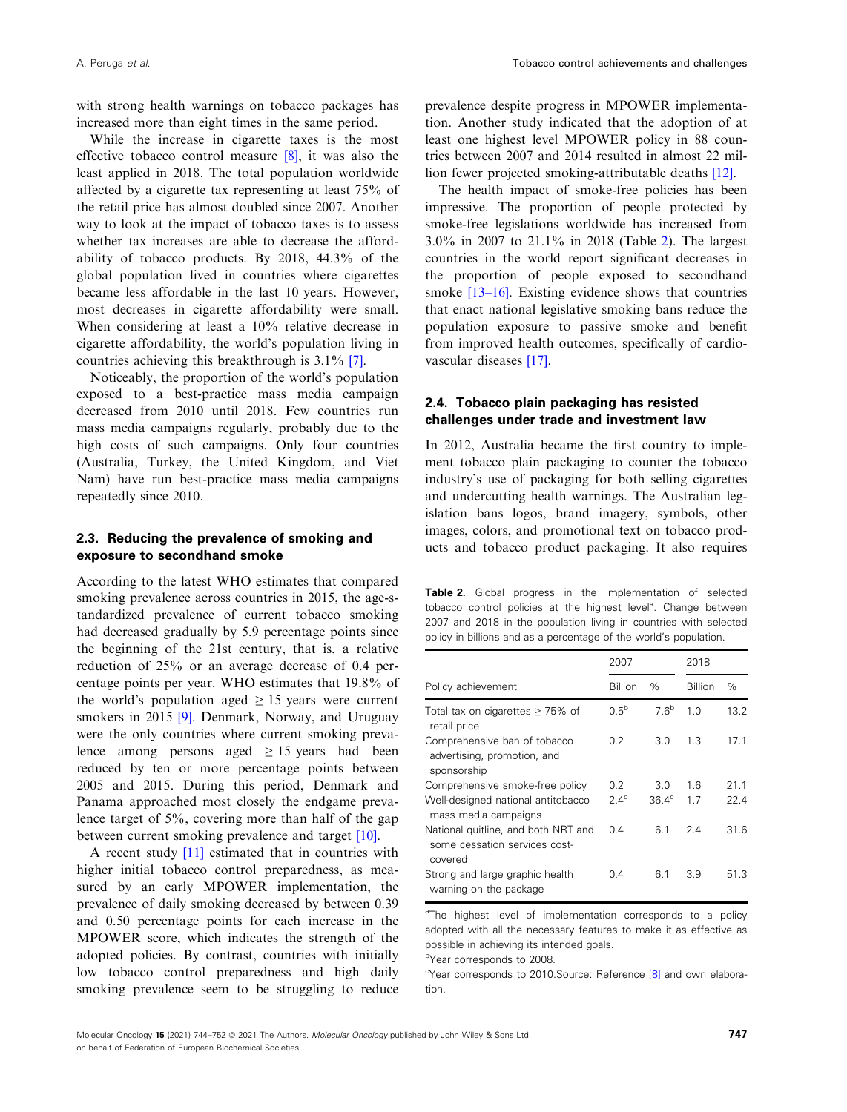with strong health warnings on tobacco packages has increased more than eight times in the same period.

While the increase in cigarette taxes is the most effective tobacco control measure [\[8](#page-6-0)], it was also the least applied in 2018. The total population worldwide affected by a cigarette tax representing at least 75% of the retail price has almost doubled since 2007. Another way to look at the impact of tobacco taxes is to assess whether tax increases are able to decrease the affordability of tobacco products. By 2018, 44.3% of the global population lived in countries where cigarettes became less affordable in the last 10 years. However, most decreases in cigarette affordability were small. When considering at least a 10% relative decrease in cigarette affordability, the world's population living in countries achieving this breakthrough is 3.1% [[7\]](#page-6-0).

Noticeably, the proportion of the world's population exposed to a best-practice mass media campaign decreased from 2010 until 2018. Few countries run mass media campaigns regularly, probably due to the high costs of such campaigns. Only four countries (Australia, Turkey, the United Kingdom, and Viet Nam) have run best-practice mass media campaigns repeatedly since 2010.

#### 2.3. Reducing the prevalence of smoking and exposure to secondhand smoke

According to the latest WHO estimates that compared smoking prevalence across countries in 2015, the age-standardized prevalence of current tobacco smoking had decreased gradually by 5.9 percentage points since the beginning of the 21st century, that is, a relative reduction of 25% or an average decrease of 0.4 percentage points per year. WHO estimates that 19.8% of the world's population aged  $\geq$  15 years were current smokers in 2015 [[9](#page-6-0)]. Denmark, Norway, and Uruguay were the only countries where current smoking prevalence among persons aged  $\geq$  15 years had been reduced by ten or more percentage points between 2005 and 2015. During this period, Denmark and Panama approached most closely the endgame prevalence target of 5%, covering more than half of the gap between current smoking prevalence and target [\[10\]](#page-6-0).

A recent study [\[11\]](#page-6-0) estimated that in countries with higher initial tobacco control preparedness, as measured by an early MPOWER implementation, the prevalence of daily smoking decreased by between 0.39 and 0.50 percentage points for each increase in the MPOWER score, which indicates the strength of the adopted policies. By contrast, countries with initially low tobacco control preparedness and high daily smoking prevalence seem to be struggling to reduce prevalence despite progress in MPOWER implementation. Another study indicated that the adoption of at least one highest level MPOWER policy in 88 countries between 2007 and 2014 resulted in almost 22 million fewer projected smoking-attributable deaths [\[12\]](#page-6-0).

The health impact of smoke-free policies has been impressive. The proportion of people protected by smoke-free legislations worldwide has increased from 3.0% in 2007 to 21.1% in 2018 (Table 2). The largest countries in the world report significant decreases in the proportion of people exposed to secondhand smoke [[13](#page-6-0)–[16](#page-6-0)]. Existing evidence shows that countries that enact national legislative smoking bans reduce the population exposure to passive smoke and benefit from improved health outcomes, specifically of cardiovascular diseases [\[17\]](#page-7-0).

### 2.4. Tobacco plain packaging has resisted challenges under trade and investment law

In 2012, Australia became the first country to implement tobacco plain packaging to counter the tobacco industry's use of packaging for both selling cigarettes and undercutting health warnings. The Australian legislation bans logos, brand imagery, symbols, other images, colors, and promotional text on tobacco products and tobacco product packaging. It also requires

Table 2. Global progress in the implementation of selected tobacco control policies at the highest level<sup>a</sup>. Change between 2007 and 2018 in the population living in countries with selected policy in billions and as a percentage of the world's population.

|                                                                                 | 2007           |                 | 2018           |      |
|---------------------------------------------------------------------------------|----------------|-----------------|----------------|------|
| Policy achievement                                                              | <b>Billion</b> | $\%$            | <b>Billion</b> | $\%$ |
| Total tax on cigarettes $\geq$ 75% of<br>retail price                           | $0.5^{b}$      | 76 <sup>b</sup> | 1.0            | 13.2 |
| Comprehensive ban of tobacco<br>advertising, promotion, and<br>sponsorship      | 0.2            | 3.0             | 1.3            | 17.1 |
| Comprehensive smoke-free policy                                                 | 0.2            | 3.0             | 1.6            | 21.1 |
| Well-designed national antitobacco<br>mass media campaigns                      | $2.4^\circ$    | $36.4^\circ$    | 1.7            | 22.4 |
| National quitline, and both NRT and<br>some cessation services cost-<br>covered | 0.4            | 6.1             | 2.4            | 31.6 |
| Strong and large graphic health<br>warning on the package                       | 0.4            | 6.1             | 3.9            | 51.3 |

<sup>a</sup>The highest level of implementation corresponds to a policy adopted with all the necessary features to make it as effective as possible in achieving its intended goals.

bYear corresponds to 2008.

<sup>c</sup>Year corresponds to 2010. Source: Reference [\[8\]](#page-6-0) and own elaboration.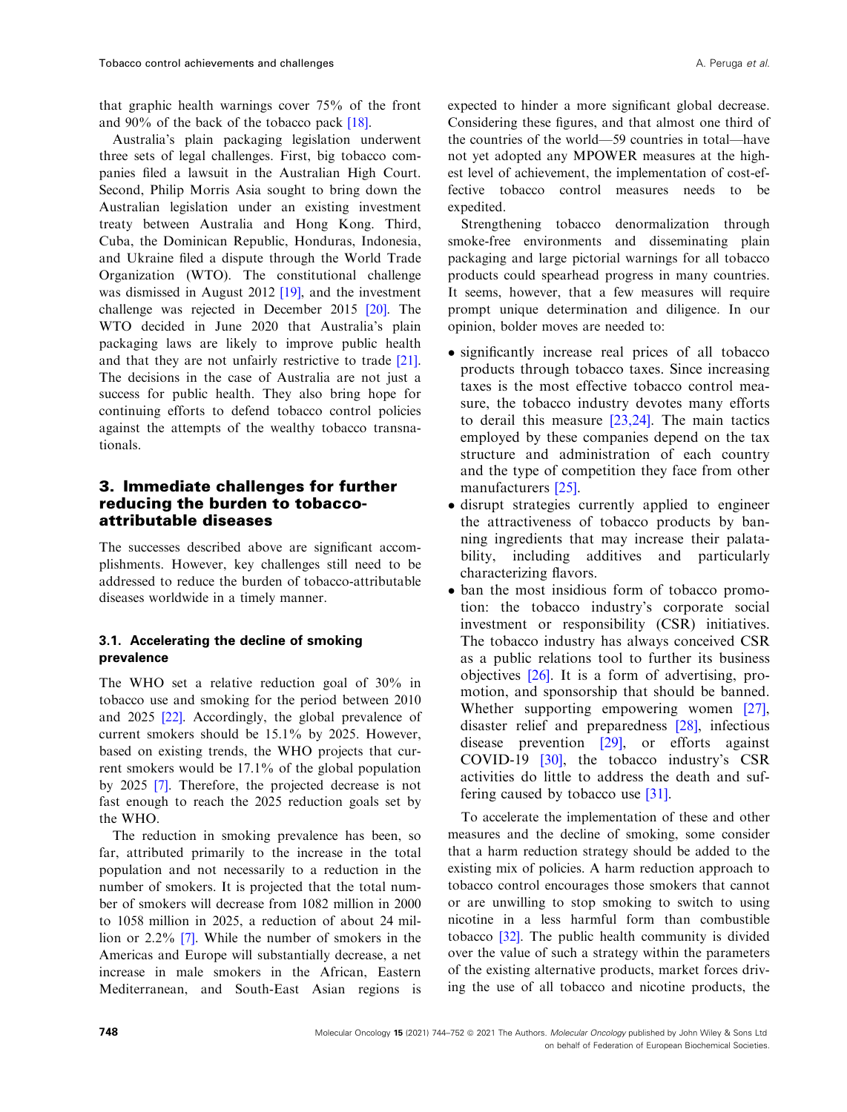that graphic health warnings cover 75% of the front and 90% of the back of the tobacco pack [\[18](#page-7-0)].

Australia's plain packaging legislation underwent three sets of legal challenges. First, big tobacco companies filed a lawsuit in the Australian High Court. Second, Philip Morris Asia sought to bring down the Australian legislation under an existing investment treaty between Australia and Hong Kong. Third, Cuba, the Dominican Republic, Honduras, Indonesia, and Ukraine filed a dispute through the World Trade Organization (WTO). The constitutional challenge was dismissed in August 2012 [[19](#page-7-0)], and the investment challenge was rejected in December 2015 [[20](#page-7-0)]. The WTO decided in June 2020 that Australia's plain packaging laws are likely to improve public health and that they are not unfairly restrictive to trade [[21](#page-7-0)]. The decisions in the case of Australia are not just a success for public health. They also bring hope for continuing efforts to defend tobacco control policies against the attempts of the wealthy tobacco transnationals.

### 3. Immediate challenges for further reducing the burden to tobaccoattributable diseases

The successes described above are significant accomplishments. However, key challenges still need to be addressed to reduce the burden of tobacco-attributable diseases worldwide in a timely manner.

### 3.1. Accelerating the decline of smoking prevalence

The WHO set a relative reduction goal of 30% in tobacco use and smoking for the period between 2010 and 2025 [\[22\]](#page-7-0). Accordingly, the global prevalence of current smokers should be 15.1% by 2025. However, based on existing trends, the WHO projects that current smokers would be 17.1% of the global population by 2025 [\[7\]](#page-6-0). Therefore, the projected decrease is not fast enough to reach the 2025 reduction goals set by the WHO.

The reduction in smoking prevalence has been, so far, attributed primarily to the increase in the total population and not necessarily to a reduction in the number of smokers. It is projected that the total number of smokers will decrease from 1082 million in 2000 to 1058 million in 2025, a reduction of about 24 million or 2.2% [[7\]](#page-6-0). While the number of smokers in the Americas and Europe will substantially decrease, a net increase in male smokers in the African, Eastern Mediterranean, and South-East Asian regions is

expected to hinder a more significant global decrease. Considering these figures, and that almost one third of the countries of the world—59 countries in total—have not yet adopted any MPOWER measures at the highest level of achievement, the implementation of cost-effective tobacco control measures needs to be

expedited. Strengthening tobacco denormalization through smoke-free environments and disseminating plain packaging and large pictorial warnings for all tobacco products could spearhead progress in many countries. It seems, however, that a few measures will require prompt unique determination and diligence. In our opinion, bolder moves are needed to:

- significantly increase real prices of all tobacco products through tobacco taxes. Since increasing taxes is the most effective tobacco control measure, the tobacco industry devotes many efforts to derail this measure [[23,24\]](#page-7-0). The main tactics employed by these companies depend on the tax structure and administration of each country and the type of competition they face from other manufacturers [[25\]](#page-7-0).
- disrupt strategies currently applied to engineer the attractiveness of tobacco products by banning ingredients that may increase their palatability, including additives and particularly characterizing flavors.
- ban the most insidious form of tobacco promotion: the tobacco industry's corporate social investment or responsibility (CSR) initiatives. The tobacco industry has always conceived CSR as a public relations tool to further its business objectives [[26\]](#page-7-0). It is a form of advertising, promotion, and sponsorship that should be banned. Whether supporting empowering women [[27\]](#page-7-0), disaster relief and preparedness [[28](#page-7-0)], infectious disease prevention [[29](#page-7-0)], or efforts against COVID-19 [[30](#page-7-0)], the tobacco industry's CSR activities do little to address the death and suffering caused by tobacco use [[31\]](#page-7-0).

To accelerate the implementation of these and other measures and the decline of smoking, some consider that a harm reduction strategy should be added to the existing mix of policies. A harm reduction approach to tobacco control encourages those smokers that cannot or are unwilling to stop smoking to switch to using nicotine in a less harmful form than combustible tobacco [[32](#page-7-0)]. The public health community is divided over the value of such a strategy within the parameters of the existing alternative products, market forces driving the use of all tobacco and nicotine products, the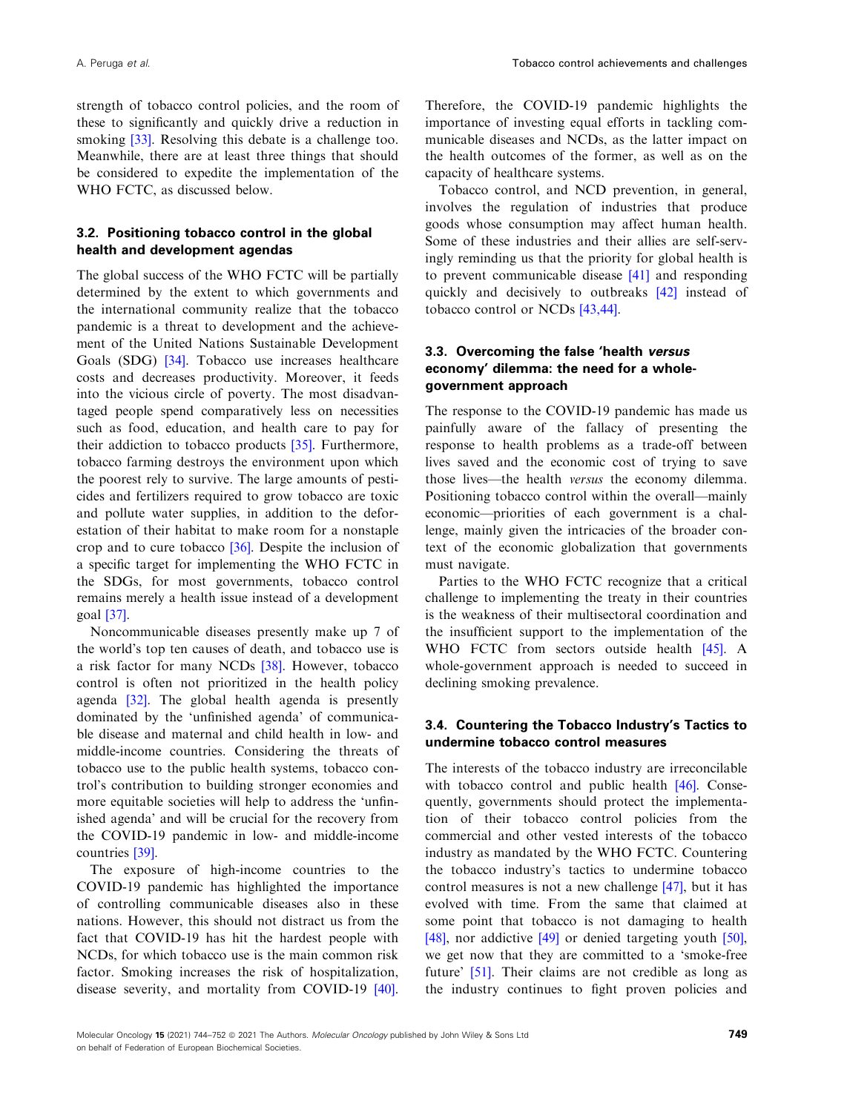strength of tobacco control policies, and the room of these to significantly and quickly drive a reduction in smoking [\[33\]](#page-7-0). Resolving this debate is a challenge too. Meanwhile, there are at least three things that should be considered to expedite the implementation of the WHO FCTC, as discussed below.

#### 3.2. Positioning tobacco control in the global health and development agendas

The global success of the WHO FCTC will be partially determined by the extent to which governments and the international community realize that the tobacco pandemic is a threat to development and the achievement of the United Nations Sustainable Development Goals (SDG) [\[34\]](#page-7-0). Tobacco use increases healthcare costs and decreases productivity. Moreover, it feeds into the vicious circle of poverty. The most disadvantaged people spend comparatively less on necessities such as food, education, and health care to pay for their addiction to tobacco products [\[35\]](#page-8-0). Furthermore, tobacco farming destroys the environment upon which the poorest rely to survive. The large amounts of pesticides and fertilizers required to grow tobacco are toxic and pollute water supplies, in addition to the deforestation of their habitat to make room for a nonstaple crop and to cure tobacco [\[36\]](#page-8-0). Despite the inclusion of a specific target for implementing the WHO FCTC in the SDGs, for most governments, tobacco control remains merely a health issue instead of a development goal [[37](#page-8-0)].

Noncommunicable diseases presently make up 7 of the world's top ten causes of death, and tobacco use is a risk factor for many NCDs [\[38\]](#page-8-0). However, tobacco control is often not prioritized in the health policy agenda [\[32\]](#page-7-0). The global health agenda is presently dominated by the 'unfinished agenda' of communicable disease and maternal and child health in low- and middle-income countries. Considering the threats of tobacco use to the public health systems, tobacco control's contribution to building stronger economies and more equitable societies will help to address the 'unfinished agenda' and will be crucial for the recovery from the COVID-19 pandemic in low- and middle-income countries [[39](#page-8-0)].

The exposure of high-income countries to the COVID-19 pandemic has highlighted the importance of controlling communicable diseases also in these nations. However, this should not distract us from the fact that COVID-19 has hit the hardest people with NCDs, for which tobacco use is the main common risk factor. Smoking increases the risk of hospitalization, disease severity, and mortality from COVID-19 [[40](#page-8-0)].

Therefore, the COVID-19 pandemic highlights the importance of investing equal efforts in tackling communicable diseases and NCDs, as the latter impact on the health outcomes of the former, as well as on the capacity of healthcare systems.

Tobacco control, and NCD prevention, in general, involves the regulation of industries that produce goods whose consumption may affect human health. Some of these industries and their allies are self-servingly reminding us that the priority for global health is to prevent communicable disease [[41](#page-8-0)] and responding quickly and decisively to outbreaks [\[42\]](#page-8-0) instead of tobacco control or NCDs [\[43,44\]](#page-8-0).

#### 3.3. Overcoming the false 'health versus economy' dilemma: the need for a wholegovernment approach

The response to the COVID-19 pandemic has made us painfully aware of the fallacy of presenting the response to health problems as a trade-off between lives saved and the economic cost of trying to save those lives—the health versus the economy dilemma. Positioning tobacco control within the overall—mainly economic—priorities of each government is a challenge, mainly given the intricacies of the broader context of the economic globalization that governments must navigate.

Parties to the WHO FCTC recognize that a critical challenge to implementing the treaty in their countries is the weakness of their multisectoral coordination and the insufficient support to the implementation of the WHO FCTC from sectors outside health [[45](#page-8-0)]. A whole-government approach is needed to succeed in declining smoking prevalence.

#### 3.4. Countering the Tobacco Industry's Tactics to undermine tobacco control measures

The interests of the tobacco industry are irreconcilable with tobacco control and public health [\[46\]](#page-8-0). Consequently, governments should protect the implementation of their tobacco control policies from the commercial and other vested interests of the tobacco industry as mandated by the WHO FCTC. Countering the tobacco industry's tactics to undermine tobacco control measures is not a new challenge [\[47\]](#page-8-0), but it has evolved with time. From the same that claimed at some point that tobacco is not damaging to health [[48](#page-8-0)], nor addictive [\[49\]](#page-8-0) or denied targeting youth [[50](#page-8-0)], we get now that they are committed to a 'smoke-free future' [\[51\]](#page-8-0). Their claims are not credible as long as the industry continues to fight proven policies and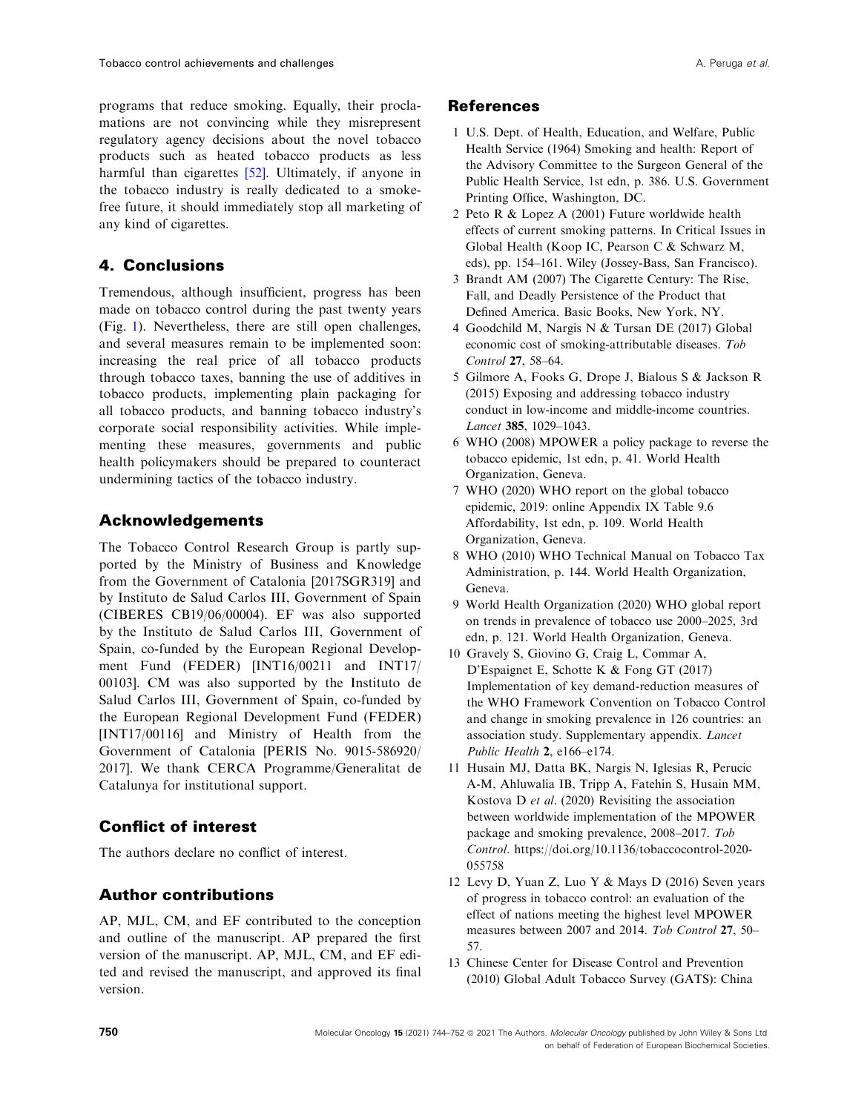<span id="page-6-0"></span>programs that reduce smoking. Equally, their proclamations are not convincing while they misrepresent regulatory agency decisions about the novel tobacco products such as heated tobacco products as less harmful than cigarettes [[52](#page-8-0)]. Ultimately, if anyone in the tobacco industry is really dedicated to a smokefree future, it should immediately stop all marketing of any kind of cigarettes.

# 4. Conclusions

Tremendous, although insufficient, progress has been made on tobacco control during the past twenty years (Fig. [1](#page-1-0)). Nevertheless, there are still open challenges, and several measures remain to be implemented soon: increasing the real price of all tobacco products through tobacco taxes, banning the use of additives in tobacco products, implementing plain packaging for all tobacco products, and banning tobacco industry's corporate social responsibility activities. While implementing these measures, governments and public health policymakers should be prepared to counteract undermining tactics of the tobacco industry.

# Acknowledgements

The Tobacco Control Research Group is partly supported by the Ministry of Business and Knowledge from the Government of Catalonia [2017SGR319] and by Instituto de Salud Carlos III, Government of Spain (CIBERES CB19/06/00004). EF was also supported by the Instituto de Salud Carlos III, Government of Spain, co-funded by the European Regional Development Fund (FEDER) [INT16/00211 and INT17/ 00103]. CM was also supported by the Instituto de Salud Carlos III, Government of Spain, co-funded by the European Regional Development Fund (FEDER) [INT17/00116] and Ministry of Health from the Government of Catalonia [PERIS No. 9015-586920/ 2017]. We thank CERCA Programme/Generalitat de Catalunya for institutional support.

# Conflict of interest

The authors declare no conflict of interest.

# Author contributions

AP, MJL, CM, and EF contributed to the conception and outline of the manuscript. AP prepared the first version of the manuscript. AP, MJL, CM, and EF edited and revised the manuscript, and approved its final version.

### **References**

- 1 U.S. Dept. of Health, Education, and Welfare, Public Health Service (1964) Smoking and health: Report of the Advisory Committee to the Surgeon General of the Public Health Service, 1st edn, p. 386. U.S. Government Printing Office, Washington, DC.
- 2 Peto R & Lopez A (2001) Future worldwide health effects of current smoking patterns. In Critical Issues in Global Health (Koop IC, Pearson C & Schwarz M, eds), pp. 154–161. Wiley (Jossey-Bass, San Francisco).
- 3 Brandt AM (2007) The Cigarette Century: The Rise, Fall, and Deadly Persistence of the Product that Defined America. Basic Books, New York, NY.
- 4 Goodchild M, Nargis N & Tursan DE (2017) Global economic cost of smoking-attributable diseases. Tob Control 27, 58–64.
- 5 Gilmore A, Fooks G, Drope J, Bialous S & Jackson R (2015) Exposing and addressing tobacco industry conduct in low-income and middle-income countries. Lancet 385, 1029–1043.
- 6 WHO (2008) MPOWER a policy package to reverse the tobacco epidemic, 1st edn, p. 41. World Health Organization, Geneva.
- 7 WHO (2020) WHO report on the global tobacco epidemic, 2019: online Appendix IX Table 9.6 Affordability, 1st edn, p. 109. World Health Organization, Geneva.
- 8 WHO (2010) WHO Technical Manual on Tobacco Tax Administration, p. 144. World Health Organization, Geneva.
- 9 World Health Organization (2020) WHO global report on trends in prevalence of tobacco use 2000–2025, 3rd edn, p. 121. World Health Organization, Geneva.
- 10 Gravely S, Giovino G, Craig L, Commar A, D'Espaignet E, Schotte K & Fong GT (2017) Implementation of key demand-reduction measures of the WHO Framework Convention on Tobacco Control and change in smoking prevalence in 126 countries: an association study. Supplementary appendix. Lancet Public Health 2, e166–e174.
- 11 Husain MJ, Datta BK, Nargis N, Iglesias R, Perucic A-M, Ahluwalia IB, Tripp A, Fatehin S, Husain MM, Kostova D et al. (2020) Revisiting the association between worldwide implementation of the MPOWER package and smoking prevalence, 2008–2017. Tob Control. [https://doi.org/10.1136/tobaccocontrol-2020-](https://doi.org/10.1136/tobaccocontrol-2020-055758) [055758](https://doi.org/10.1136/tobaccocontrol-2020-055758)
- 12 Levy D, Yuan Z, Luo Y & Mays D (2016) Seven years of progress in tobacco control: an evaluation of the effect of nations meeting the highest level MPOWER measures between 2007 and 2014. Tob Control 27, 50– 57.
- 13 Chinese Center for Disease Control and Prevention (2010) Global Adult Tobacco Survey (GATS): China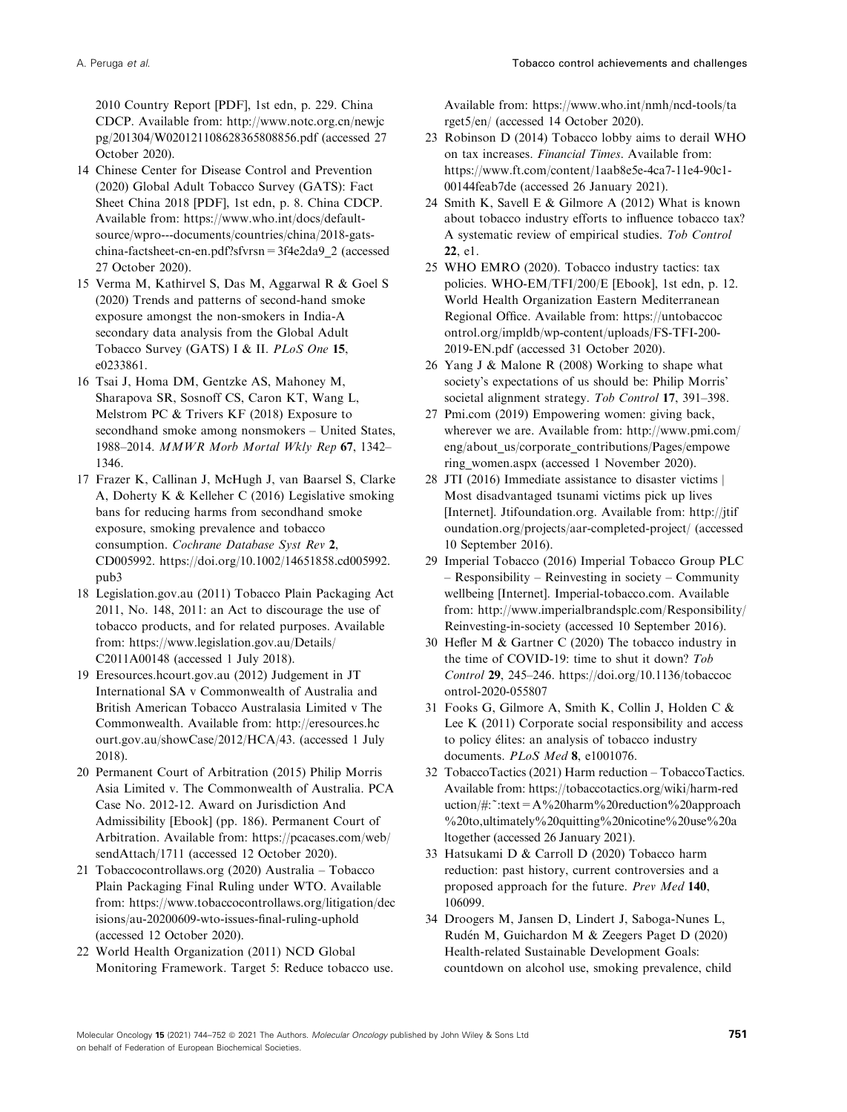<span id="page-7-0"></span>2010 Country Report [PDF], 1st edn, p. 229. China CDCP. Available from: [http://www.notc.org.cn/newjc](http://www.notc.org.cn/newjcpg/201304/W020121108628365808856.pdf) [pg/201304/W020121108628365808856.pdf](http://www.notc.org.cn/newjcpg/201304/W020121108628365808856.pdf) (accessed 27 October 2020).

- 14 Chinese Center for Disease Control and Prevention (2020) Global Adult Tobacco Survey (GATS): Fact Sheet China 2018 [PDF], 1st edn, p. 8. China CDCP. Available from: [https://www.who.int/docs/default](https://www.who.int/docs/default-source/wpro---documents/countries/china/2018-gats-china-factsheet-cn-en.pdf?sfvrsn=3f4e2da9_2)[source/wpro---documents/countries/china/2018-gats](https://www.who.int/docs/default-source/wpro---documents/countries/china/2018-gats-china-factsheet-cn-en.pdf?sfvrsn=3f4e2da9_2)[china-factsheet-cn-en.pdf?sfvrsn=3f4e2da9\\_2](https://www.who.int/docs/default-source/wpro---documents/countries/china/2018-gats-china-factsheet-cn-en.pdf?sfvrsn=3f4e2da9_2) (accessed 27 October 2020).
- 15 Verma M, Kathirvel S, Das M, Aggarwal R & Goel S (2020) Trends and patterns of second-hand smoke exposure amongst the non-smokers in India-A secondary data analysis from the Global Adult Tobacco Survey (GATS) I & II. PLoS One 15, e0233861.
- 16 Tsai J, Homa DM, Gentzke AS, Mahoney M, Sharapova SR, Sosnoff CS, Caron KT, Wang L, Melstrom PC & Trivers KF (2018) Exposure to secondhand smoke among nonsmokers – United States, 1988–2014. MMWR Morb Mortal Wkly Rep 67, 1342– 1346.
- 17 Frazer K, Callinan J, McHugh J, van Baarsel S, Clarke A, Doherty K & Kelleher C (2016) Legislative smoking bans for reducing harms from secondhand smoke exposure, smoking prevalence and tobacco consumption. Cochrane Database Syst Rev 2, CD005992. [https://doi.org/10.1002/14651858.cd005992.](https://doi.org/10.1002/14651858.cd005992.pub3) [pub3](https://doi.org/10.1002/14651858.cd005992.pub3)
- 18 [Legislation.gov.au](https://Legislation.gov.au) (2011) Tobacco Plain Packaging Act 2011, No. 148, 2011: an Act to discourage the use of tobacco products, and for related purposes. Available from: [https://www.legislation.gov.au/Details/](https://www.legislation.gov.au/Details/C2011A00148) [C2011A00148](https://www.legislation.gov.au/Details/C2011A00148) (accessed 1 July 2018).
- 19 [Eresources.hcourt.gov.au](https://Eresources.hcourt.gov.au) (2012) Judgement in JT International SA v Commonwealth of Australia and British American Tobacco Australasia Limited v The Commonwealth. Available from: [http://eresources.hc](http://eresources.hcourt.gov.au/showCase/2012/HCA/43) [ourt.gov.au/showCase/2012/HCA/43.](http://eresources.hcourt.gov.au/showCase/2012/HCA/43) (accessed 1 July 2018).
- 20 Permanent Court of Arbitration (2015) Philip Morris Asia Limited v. The Commonwealth of Australia. PCA Case No. 2012-12. Award on Jurisdiction And Admissibility [Ebook] (pp. 186). Permanent Court of Arbitration. Available from: [https://pcacases.com/web/](https://pcacases.com/web/sendAttach/1711) [sendAttach/1711](https://pcacases.com/web/sendAttach/1711) (accessed 12 October 2020).
- 21 [Tobaccocontrollaws.org](https://Tobaccocontrollaws.org) (2020) Australia Tobacco Plain Packaging Final Ruling under WTO. Available from: [https://www.tobaccocontrollaws.org/litigation/dec](https://www.tobaccocontrollaws.org/litigation/decisions/au-20200609-wto-issues-final-ruling-uphold) [isions/au-20200609-wto-issues-final-ruling-uphold](https://www.tobaccocontrollaws.org/litigation/decisions/au-20200609-wto-issues-final-ruling-uphold) (accessed 12 October 2020).
- 22 World Health Organization (2011) NCD Global Monitoring Framework. Target 5: Reduce tobacco use.

Available from: [https://www.who.int/nmh/ncd-tools/ta](https://www.who.int/nmh/ncd-tools/target5/en/) [rget5/en/](https://www.who.int/nmh/ncd-tools/target5/en/) (accessed 14 October 2020).

- 23 Robinson D (2014) Tobacco lobby aims to derail WHO on tax increases. Financial Times. Available from: [https://www.ft.com/content/1aab8e5e-4ca7-11e4-90c1-](https://www.ft.com/content/1aab8e5e-4ca7-11e4-90c1-00144feab7de) [00144feab7de](https://www.ft.com/content/1aab8e5e-4ca7-11e4-90c1-00144feab7de) (accessed 26 January 2021).
- 24 Smith K, Savell E & Gilmore A (2012) What is known about tobacco industry efforts to influence tobacco tax? A systematic review of empirical studies. Tob Control 22, e1.
- 25 WHO EMRO (2020). Tobacco industry tactics: tax policies. WHO-EM/TFI/200/E [Ebook], 1st edn, p. 12. World Health Organization Eastern Mediterranean Regional Office. Available from: [https://untobaccoc](https://untobaccocontrol.org/impldb/wp-content/uploads/FS-TFI-200-2019-EN.pdf) [ontrol.org/impldb/wp-content/uploads/FS-TFI-200-](https://untobaccocontrol.org/impldb/wp-content/uploads/FS-TFI-200-2019-EN.pdf) [2019-EN.pdf](https://untobaccocontrol.org/impldb/wp-content/uploads/FS-TFI-200-2019-EN.pdf) (accessed 31 October 2020).
- 26 Yang J & Malone R (2008) Working to shape what society's expectations of us should be: Philip Morris' societal alignment strategy. Tob Control 17, 391-398.
- 27 [Pmi.com](https://Pmi.com) (2019) Empowering women: giving back, wherever we are. Available from: [http://www.pmi.com/](http://www.pmi.com/eng/about_us/corporate_contributions/Pages/empowering_women.aspx) [eng/about\\_us/corporate\\_contributions/Pages/empowe](http://www.pmi.com/eng/about_us/corporate_contributions/Pages/empowering_women.aspx) [ring\\_women.aspx](http://www.pmi.com/eng/about_us/corporate_contributions/Pages/empowering_women.aspx) (accessed 1 November 2020).
- 28 JTI (2016) Immediate assistance to disaster victims | Most disadvantaged tsunami victims pick up lives [Internet]. [Jtifoundation.org.](https://Jtifoundation.org) Available from: [http://jtif](http://jtifoundation.org/projects/aar-completed-project/) [oundation.org/projects/aar-completed-project/](http://jtifoundation.org/projects/aar-completed-project/) (accessed 10 September 2016).
- 29 Imperial Tobacco (2016) Imperial Tobacco Group PLC – Responsibility – Reinvesting in society – Community wellbeing [Internet]. [Imperial-tobacco.com](https://Imperial-tobacco.com). Available from: [http://www.imperialbrandsplc.com/Responsibility/](http://www.imperialbrandsplc.com/Responsibility/Reinvesting-in-society) [Reinvesting-in-society](http://www.imperialbrandsplc.com/Responsibility/Reinvesting-in-society) (accessed 10 September 2016).
- 30 Hefler M & Gartner C (2020) The tobacco industry in the time of COVID-19: time to shut it down? Tob Control 29, 245–246. [https://doi.org/10.1136/tobaccoc](https://doi.org/10.1136/tobaccocontrol-2020-055807) [ontrol-2020-055807](https://doi.org/10.1136/tobaccocontrol-2020-055807)
- 31 Fooks G, Gilmore A, Smith K, Collin J, Holden C & Lee K (2011) Corporate social responsibility and access to policy elites: an analysis of tobacco industry documents. PLoS Med 8, e1001076.
- 32 TobaccoTactics (2021) Harm reduction TobaccoTactics. Available from: [https://tobaccotactics.org/wiki/harm-red](https://tobaccotactics.org/wiki/harm-reduction/#:%7E:text=A%2520harm%2520reduction%2520approach%2520to,ultimately%2520quitting%2520nicotine%2520use%2520altogether) uction/ $\#$ : ":text = A%20harm%20reduction%20approach [%20to,ultimately%20quitting%20nicotine%20use%20a](https://tobaccotactics.org/wiki/harm-reduction/#:%7E:text=A%2520harm%2520reduction%2520approach%2520to,ultimately%2520quitting%2520nicotine%2520use%2520altogether) [ltogether](https://tobaccotactics.org/wiki/harm-reduction/#:%7E:text=A%2520harm%2520reduction%2520approach%2520to,ultimately%2520quitting%2520nicotine%2520use%2520altogether) (accessed 26 January 2021).
- 33 Hatsukami D & Carroll D (2020) Tobacco harm reduction: past history, current controversies and a proposed approach for the future. Prev Med 140, 106099.
- 34 Droogers M, Jansen D, Lindert J, Saboga-Nunes L, Ruden M, Guichardon M & Zeegers Paget D (2020) Health-related Sustainable Development Goals: countdown on alcohol use, smoking prevalence, child